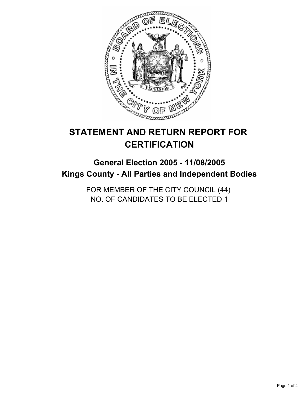

# **STATEMENT AND RETURN REPORT FOR CERTIFICATION**

# **General Election 2005 - 11/08/2005 Kings County - All Parties and Independent Bodies**

FOR MEMBER OF THE CITY COUNCIL (44) NO. OF CANDIDATES TO BE ELECTED 1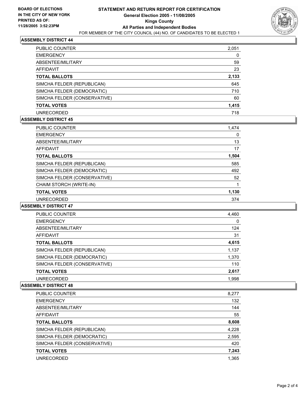

## **ASSEMBLY DISTRICT 44**

| PUBLIC COUNTER               | 2,051 |
|------------------------------|-------|
| <b>EMERGENCY</b>             |       |
| ABSENTEE/MILITARY            | 59    |
| AFFIDAVIT                    | 23    |
| <b>TOTAL BALLOTS</b>         | 2,133 |
| SIMCHA FELDER (REPUBLICAN)   | 645   |
| SIMCHA FELDER (DEMOCRATIC)   | 710   |
| SIMCHA FELDER (CONSERVATIVE) | 60    |
| <b>TOTAL VOTES</b>           | 1,415 |
| <b>UNRECORDED</b>            | 718   |

#### **ASSEMBLY DISTRICT 45**

| <b>PUBLIC COUNTER</b>        | 1,474 |  |
|------------------------------|-------|--|
| <b>EMERGENCY</b>             | 0     |  |
| ABSENTEE/MILITARY            | 13    |  |
| AFFIDAVIT                    | 17    |  |
| <b>TOTAL BALLOTS</b>         | 1,504 |  |
| SIMCHA FELDER (REPUBLICAN)   | 585   |  |
| SIMCHA FELDER (DEMOCRATIC)   | 492   |  |
| SIMCHA FELDER (CONSERVATIVE) | 52    |  |
| CHAIM STORCH (WRITE-IN)      |       |  |
| <b>TOTAL VOTES</b>           | 1,130 |  |
| <b>UNRECORDED</b>            | 374   |  |

## **ASSEMBLY DISTRICT 47**

| PUBLIC COUNTER               | 4,460 |  |
|------------------------------|-------|--|
| <b>EMERGENCY</b>             | 0     |  |
| ABSENTEE/MILITARY            | 124   |  |
| AFFIDAVIT                    | 31    |  |
| <b>TOTAL BALLOTS</b>         | 4,615 |  |
| SIMCHA FELDER (REPUBLICAN)   | 1,137 |  |
| SIMCHA FELDER (DEMOCRATIC)   | 1,370 |  |
| SIMCHA FELDER (CONSERVATIVE) | 110   |  |
| <b>TOTAL VOTES</b>           | 2,617 |  |
| <b>UNRECORDED</b>            | 1.998 |  |

# **ASSEMBLY DISTRICT 48**

| PUBLIC COUNTER               | 8,277 |
|------------------------------|-------|
| <b>EMERGENCY</b>             | 132   |
| ABSENTEE/MILITARY            | 144   |
| AFFIDAVIT                    | 55    |
| <b>TOTAL BALLOTS</b>         | 8,608 |
| SIMCHA FELDER (REPUBLICAN)   | 4,228 |
| SIMCHA FELDER (DEMOCRATIC)   | 2,595 |
| SIMCHA FELDER (CONSERVATIVE) | 420   |
| <b>TOTAL VOTES</b>           | 7,243 |
| <b>UNRECORDED</b>            | 1.365 |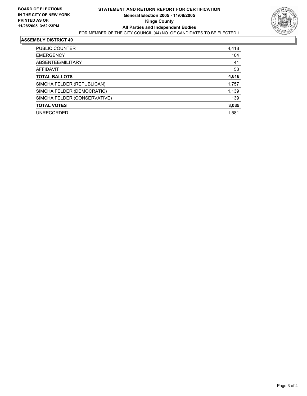

#### **ASSEMBLY DISTRICT 49**

| PUBLIC COUNTER               | 4,418 |
|------------------------------|-------|
| <b>EMERGENCY</b>             | 104   |
| ABSENTEE/MILITARY            | 41    |
| AFFIDAVIT                    | 53    |
| <b>TOTAL BALLOTS</b>         | 4,616 |
| SIMCHA FELDER (REPUBLICAN)   | 1,757 |
| SIMCHA FELDER (DEMOCRATIC)   | 1,139 |
| SIMCHA FELDER (CONSERVATIVE) | 139   |
| <b>TOTAL VOTES</b>           | 3,035 |
| <b>UNRECORDED</b>            | 1,581 |